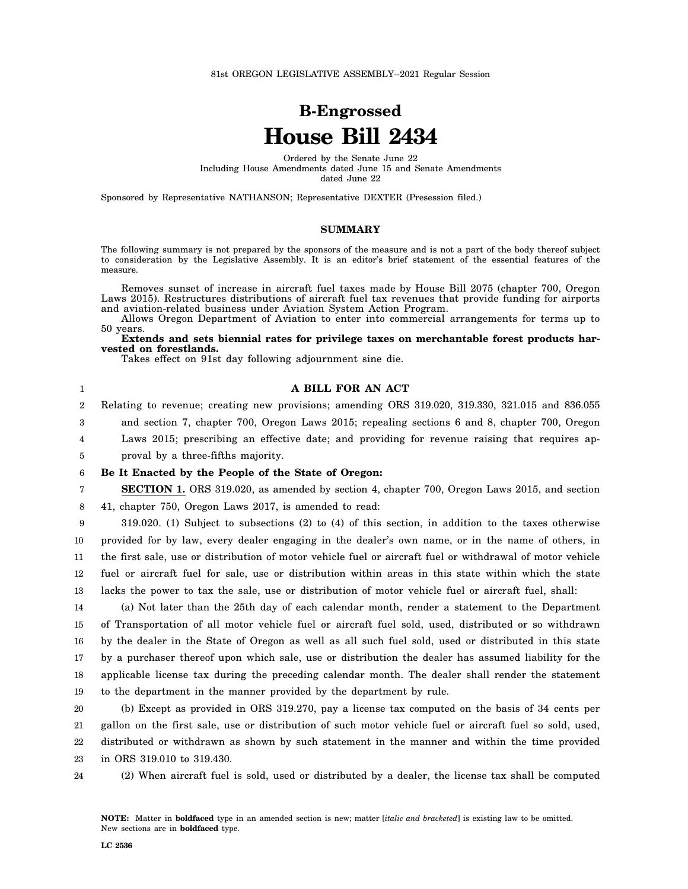## **B-Engrossed House Bill 2434**

Ordered by the Senate June 22 Including House Amendments dated June 15 and Senate Amendments dated June 22

Sponsored by Representative NATHANSON; Representative DEXTER (Presession filed.)

## **SUMMARY**

The following summary is not prepared by the sponsors of the measure and is not a part of the body thereof subject to consideration by the Legislative Assembly. It is an editor's brief statement of the essential features of the measure.

Removes sunset of increase in aircraft fuel taxes made by House Bill 2075 (chapter 700, Oregon Laws 2015). Restructures distributions of aircraft fuel tax revenues that provide funding for airports and aviation-related business under Aviation System Action Program.

Allows Oregon Department of Aviation to enter into commercial arrangements for terms up to 50 years.

**Extends and sets biennial rates for privilege taxes on merchantable forest products harvested on forestlands.**

Takes effect on 91st day following adjournment sine die.

| 1              | A BILL FOR AN ACT                                                                                         |
|----------------|-----------------------------------------------------------------------------------------------------------|
| $\overline{2}$ | Relating to revenue; creating new provisions; amending ORS 319.020, 319.330, 321.015 and 836.055          |
| 3              | and section 7, chapter 700, Oregon Laws 2015; repealing sections 6 and 8, chapter 700, Oregon             |
| 4              | Laws 2015; prescribing an effective date; and providing for revenue raising that requires ap-             |
| 5              | proval by a three-fifths majority.                                                                        |
| 6              | Be It Enacted by the People of the State of Oregon:                                                       |
| 7              | <b>SECTION 1.</b> ORS 319.020, as amended by section 4, chapter 700, Oregon Laws 2015, and section        |
| 8              | 41, chapter 750, Oregon Laws 2017, is amended to read:                                                    |
| 9              | $319.020$ . (1) Subject to subsections (2) to (4) of this section, in addition to the taxes otherwise     |
| 10             | provided for by law, every dealer engaging in the dealer's own name, or in the name of others, in         |
| 11             | the first sale, use or distribution of motor vehicle fuel or aircraft fuel or withdrawal of motor vehicle |
| 12             | fuel or aircraft fuel for sale, use or distribution within areas in this state within which the state     |
| 13             | lacks the power to tax the sale, use or distribution of motor vehicle fuel or aircraft fuel, shall:       |

14 15 16 17 18 19 (a) Not later than the 25th day of each calendar month, render a statement to the Department of Transportation of all motor vehicle fuel or aircraft fuel sold, used, distributed or so withdrawn by the dealer in the State of Oregon as well as all such fuel sold, used or distributed in this state by a purchaser thereof upon which sale, use or distribution the dealer has assumed liability for the applicable license tax during the preceding calendar month. The dealer shall render the statement to the department in the manner provided by the department by rule.

20 21 22 23 (b) Except as provided in ORS 319.270, pay a license tax computed on the basis of 34 cents per gallon on the first sale, use or distribution of such motor vehicle fuel or aircraft fuel so sold, used, distributed or withdrawn as shown by such statement in the manner and within the time provided in ORS 319.010 to 319.430.

24 (2) When aircraft fuel is sold, used or distributed by a dealer, the license tax shall be computed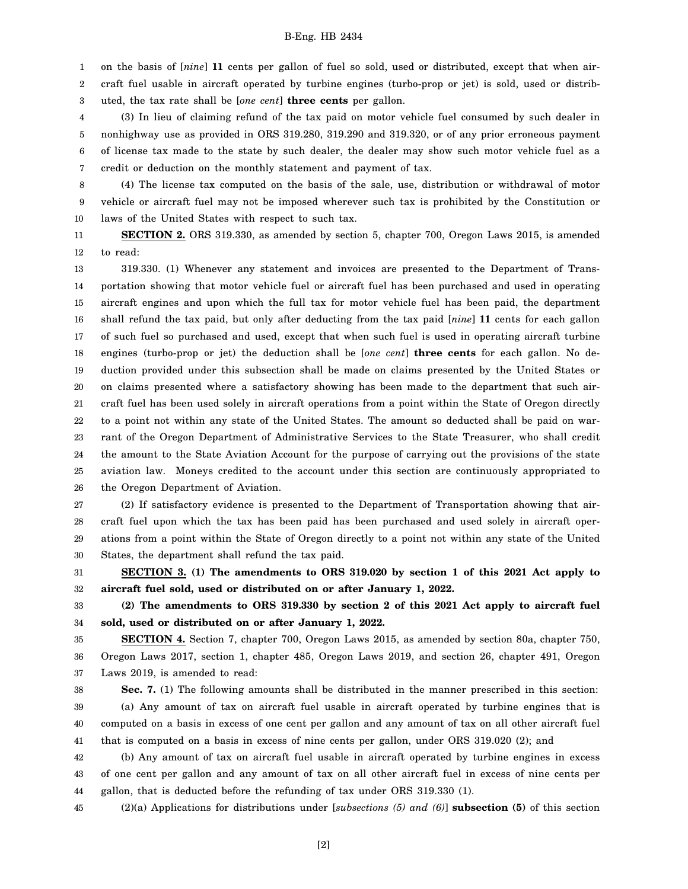## B-Eng. HB 2434

1 on the basis of [*nine*] **11** cents per gallon of fuel so sold, used or distributed, except that when air-

2 3 craft fuel usable in aircraft operated by turbine engines (turbo-prop or jet) is sold, used or distributed, the tax rate shall be [*one cent*] **three cents** per gallon.

4 5 6 7 (3) In lieu of claiming refund of the tax paid on motor vehicle fuel consumed by such dealer in nonhighway use as provided in ORS 319.280, 319.290 and 319.320, or of any prior erroneous payment of license tax made to the state by such dealer, the dealer may show such motor vehicle fuel as a credit or deduction on the monthly statement and payment of tax.

8 9 10 (4) The license tax computed on the basis of the sale, use, distribution or withdrawal of motor vehicle or aircraft fuel may not be imposed wherever such tax is prohibited by the Constitution or laws of the United States with respect to such tax.

11 12 **SECTION 2.** ORS 319.330, as amended by section 5, chapter 700, Oregon Laws 2015, is amended to read:

13 14 15 16 17 18 19 20 21 22 23 24 25 26 319.330. (1) Whenever any statement and invoices are presented to the Department of Transportation showing that motor vehicle fuel or aircraft fuel has been purchased and used in operating aircraft engines and upon which the full tax for motor vehicle fuel has been paid, the department shall refund the tax paid, but only after deducting from the tax paid [*nine*] **11** cents for each gallon of such fuel so purchased and used, except that when such fuel is used in operating aircraft turbine engines (turbo-prop or jet) the deduction shall be [*one cent*] **three cents** for each gallon. No deduction provided under this subsection shall be made on claims presented by the United States or on claims presented where a satisfactory showing has been made to the department that such aircraft fuel has been used solely in aircraft operations from a point within the State of Oregon directly to a point not within any state of the United States. The amount so deducted shall be paid on warrant of the Oregon Department of Administrative Services to the State Treasurer, who shall credit the amount to the State Aviation Account for the purpose of carrying out the provisions of the state aviation law. Moneys credited to the account under this section are continuously appropriated to the Oregon Department of Aviation.

27 28 29 30 (2) If satisfactory evidence is presented to the Department of Transportation showing that aircraft fuel upon which the tax has been paid has been purchased and used solely in aircraft operations from a point within the State of Oregon directly to a point not within any state of the United States, the department shall refund the tax paid.

31 32 **SECTION 3. (1) The amendments to ORS 319.020 by section 1 of this 2021 Act apply to aircraft fuel sold, used or distributed on or after January 1, 2022.**

33 34 **(2) The amendments to ORS 319.330 by section 2 of this 2021 Act apply to aircraft fuel sold, used or distributed on or after January 1, 2022.**

35 36 37 **SECTION 4.** Section 7, chapter 700, Oregon Laws 2015, as amended by section 80a, chapter 750, Oregon Laws 2017, section 1, chapter 485, Oregon Laws 2019, and section 26, chapter 491, Oregon Laws 2019, is amended to read:

38 39 40 41 **Sec. 7.** (1) The following amounts shall be distributed in the manner prescribed in this section: (a) Any amount of tax on aircraft fuel usable in aircraft operated by turbine engines that is computed on a basis in excess of one cent per gallon and any amount of tax on all other aircraft fuel that is computed on a basis in excess of nine cents per gallon, under ORS 319.020 (2); and

42 43 44 (b) Any amount of tax on aircraft fuel usable in aircraft operated by turbine engines in excess of one cent per gallon and any amount of tax on all other aircraft fuel in excess of nine cents per gallon, that is deducted before the refunding of tax under ORS 319.330 (1).

45 (2)(a) Applications for distributions under [*subsections (5) and (6)*] **subsection (5)** of this section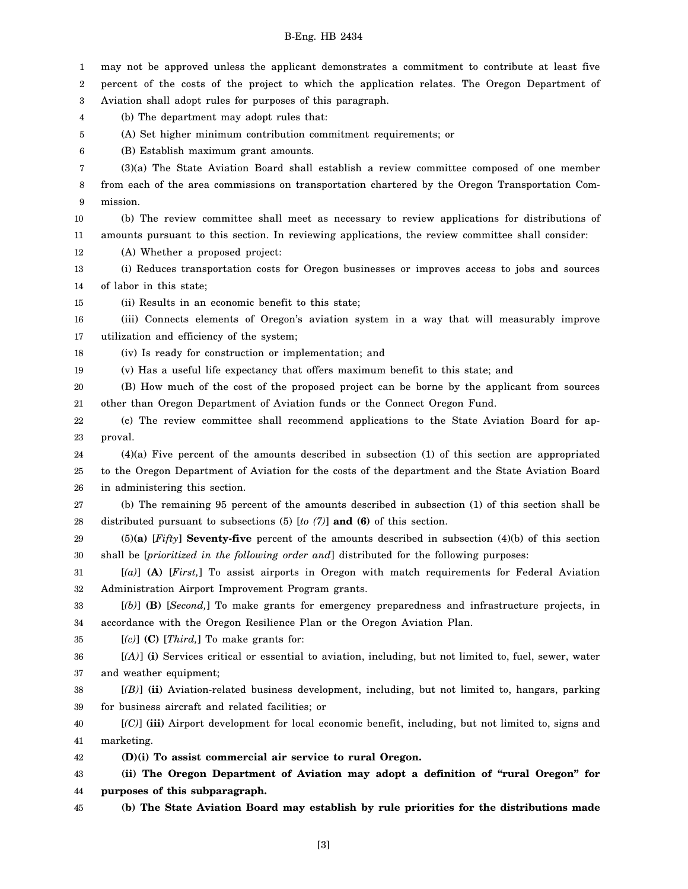## B-Eng. HB 2434

1 2 3 4 5 6 7 8 9 10 11 12 13 14 15 16 17 18 19 20 21 22 23 24 25 26 27 28 29 30 31 32 33 34 35 36 37 38 39 40 41 42 43 44 45 may not be approved unless the applicant demonstrates a commitment to contribute at least five percent of the costs of the project to which the application relates. The Oregon Department of Aviation shall adopt rules for purposes of this paragraph. (b) The department may adopt rules that: (A) Set higher minimum contribution commitment requirements; or (B) Establish maximum grant amounts. (3)(a) The State Aviation Board shall establish a review committee composed of one member from each of the area commissions on transportation chartered by the Oregon Transportation Commission. (b) The review committee shall meet as necessary to review applications for distributions of amounts pursuant to this section. In reviewing applications, the review committee shall consider: (A) Whether a proposed project: (i) Reduces transportation costs for Oregon businesses or improves access to jobs and sources of labor in this state; (ii) Results in an economic benefit to this state; (iii) Connects elements of Oregon's aviation system in a way that will measurably improve utilization and efficiency of the system; (iv) Is ready for construction or implementation; and (v) Has a useful life expectancy that offers maximum benefit to this state; and (B) How much of the cost of the proposed project can be borne by the applicant from sources other than Oregon Department of Aviation funds or the Connect Oregon Fund. (c) The review committee shall recommend applications to the State Aviation Board for approval. (4)(a) Five percent of the amounts described in subsection (1) of this section are appropriated to the Oregon Department of Aviation for the costs of the department and the State Aviation Board in administering this section. (b) The remaining 95 percent of the amounts described in subsection (1) of this section shall be distributed pursuant to subsections (5) [*to (7)*] **and (6)** of this section. (5)**(a)** [*Fifty*] **Seventy-five** percent of the amounts described in subsection (4)(b) of this section shall be [*prioritized in the following order and*] distributed for the following purposes: [*(a)*] **(A)** [*First,*] To assist airports in Oregon with match requirements for Federal Aviation Administration Airport Improvement Program grants. [*(b)*] **(B)** [*Second,*] To make grants for emergency preparedness and infrastructure projects, in accordance with the Oregon Resilience Plan or the Oregon Aviation Plan. [*(c)*] **(C)** [*Third,*] To make grants for: [*(A)*] **(i)** Services critical or essential to aviation, including, but not limited to, fuel, sewer, water and weather equipment; [*(B)*] **(ii)** Aviation-related business development, including, but not limited to, hangars, parking for business aircraft and related facilities; or [*(C)*] **(iii)** Airport development for local economic benefit, including, but not limited to, signs and marketing. **(D)(i) To assist commercial air service to rural Oregon. (ii) The Oregon Department of Aviation may adopt a definition of "rural Oregon" for purposes of this subparagraph. (b) The State Aviation Board may establish by rule priorities for the distributions made**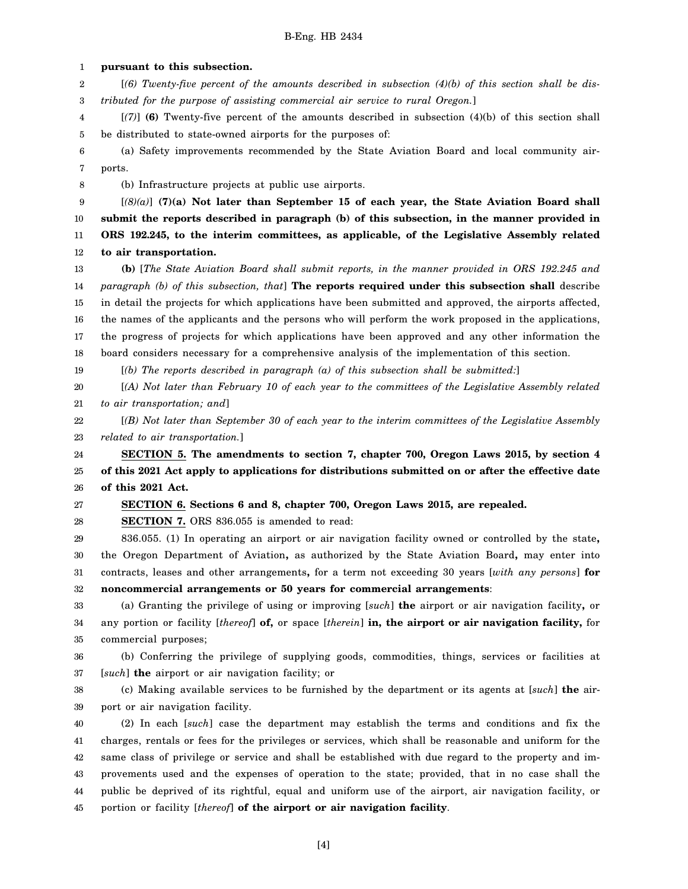1 2 3 4 5 6 7 8 9 10 11 12 13 14 15 16 17 18 19 20 21 22 23 24 25 26 27 28 29 30 31 32 33 34 35 36 37 38 39 40 41 42 43 44 **pursuant to this subsection.** [*(6) Twenty-five percent of the amounts described in subsection (4)(b) of this section shall be distributed for the purpose of assisting commercial air service to rural Oregon.*] [*(7)*] **(6)** Twenty-five percent of the amounts described in subsection (4)(b) of this section shall be distributed to state-owned airports for the purposes of: (a) Safety improvements recommended by the State Aviation Board and local community airports. (b) Infrastructure projects at public use airports. [*(8)(a)*] **(7)(a) Not later than September 15 of each year, the State Aviation Board shall submit the reports described in paragraph (b) of this subsection, in the manner provided in ORS 192.245, to the interim committees, as applicable, of the Legislative Assembly related to air transportation. (b)** [*The State Aviation Board shall submit reports, in the manner provided in ORS 192.245 and paragraph (b) of this subsection, that*] **The reports required under this subsection shall** describe in detail the projects for which applications have been submitted and approved, the airports affected, the names of the applicants and the persons who will perform the work proposed in the applications, the progress of projects for which applications have been approved and any other information the board considers necessary for a comprehensive analysis of the implementation of this section. [*(b) The reports described in paragraph (a) of this subsection shall be submitted:*] [*(A) Not later than February 10 of each year to the committees of the Legislative Assembly related to air transportation; and*] [*(B) Not later than September 30 of each year to the interim committees of the Legislative Assembly related to air transportation.*] **SECTION 5. The amendments to section 7, chapter 700, Oregon Laws 2015, by section 4 of this 2021 Act apply to applications for distributions submitted on or after the effective date of this 2021 Act. SECTION 6. Sections 6 and 8, chapter 700, Oregon Laws 2015, are repealed. SECTION 7.** ORS 836.055 is amended to read: 836.055. (1) In operating an airport or air navigation facility owned or controlled by the state**,** the Oregon Department of Aviation**,** as authorized by the State Aviation Board**,** may enter into contracts, leases and other arrangements**,** for a term not exceeding 30 years [*with any persons*] **for noncommercial arrangements or 50 years for commercial arrangements**: (a) Granting the privilege of using or improving [*such*] **the** airport or air navigation facility**,** or any portion or facility [*thereof*] **of,** or space [*therein*] **in, the airport or air navigation facility,** for commercial purposes; (b) Conferring the privilege of supplying goods, commodities, things, services or facilities at [*such*] **the** airport or air navigation facility; or (c) Making available services to be furnished by the department or its agents at [*such*] **the** airport or air navigation facility. (2) In each [*such*] case the department may establish the terms and conditions and fix the charges, rentals or fees for the privileges or services, which shall be reasonable and uniform for the same class of privilege or service and shall be established with due regard to the property and improvements used and the expenses of operation to the state; provided, that in no case shall the public be deprived of its rightful, equal and uniform use of the airport, air navigation facility, or

45 portion or facility [*thereof*] **of the airport or air navigation facility**.

[4]